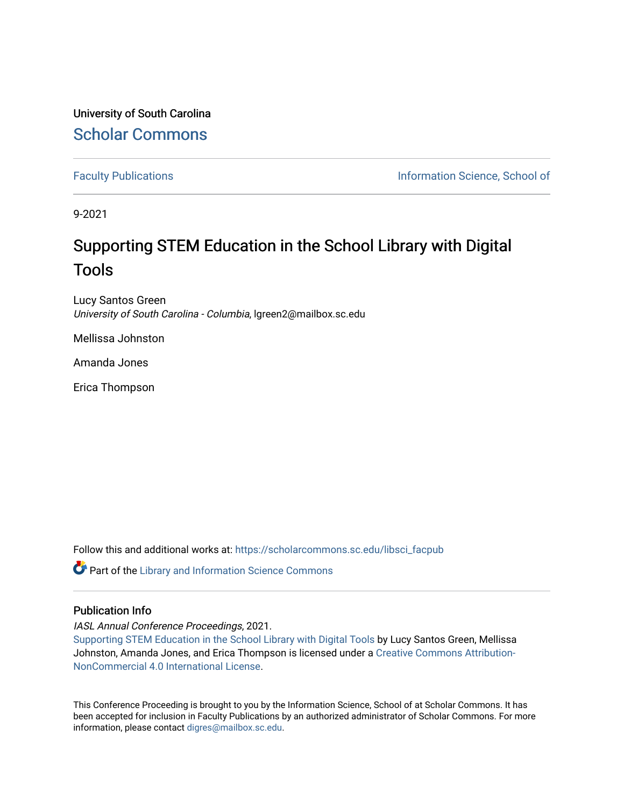University of South Carolina [Scholar Commons](https://scholarcommons.sc.edu/) 

[Faculty Publications](https://scholarcommons.sc.edu/libsci_facpub) **Information Science, School of Information Science**, School of

9-2021

## Supporting STEM Education in the School Library with Digital Tools

Lucy Santos Green University of South Carolina - Columbia, lgreen2@mailbox.sc.edu

Mellissa Johnston

Amanda Jones

Erica Thompson

Follow this and additional works at: [https://scholarcommons.sc.edu/libsci\\_facpub](https://scholarcommons.sc.edu/libsci_facpub?utm_source=scholarcommons.sc.edu%2Flibsci_facpub%2F487&utm_medium=PDF&utm_campaign=PDFCoverPages) 

Part of the [Library and Information Science Commons](http://network.bepress.com/hgg/discipline/1018?utm_source=scholarcommons.sc.edu%2Flibsci_facpub%2F487&utm_medium=PDF&utm_campaign=PDFCoverPages) 

## Publication Info

IASL Annual Conference Proceedings, 2021.

[Supporting STEM Education in the School Library with Digital Tools](https://journals.library.ualberta.ca/slw/index.php/iasl/article/view/8301) by Lucy Santos Green, Mellissa Johnston, Amanda Jones, and Erica Thompson is licensed under a [Creative Commons Attribution-](https://creativecommons.org/licenses/by-nc/4.0/)[NonCommercial 4.0 International License.](https://creativecommons.org/licenses/by-nc/4.0/)

This Conference Proceeding is brought to you by the Information Science, School of at Scholar Commons. It has been accepted for inclusion in Faculty Publications by an authorized administrator of Scholar Commons. For more information, please contact [digres@mailbox.sc.edu.](mailto:digres@mailbox.sc.edu)